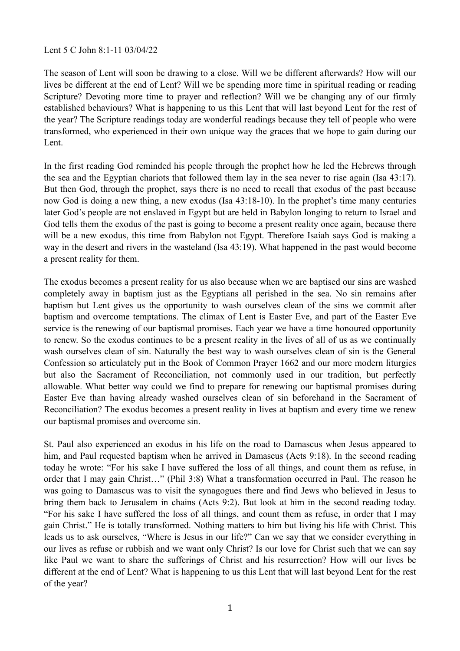## Lent 5 C John 8:1-11 03/04/22

The season of Lent will soon be drawing to a close. Will we be different afterwards? How will our lives be different at the end of Lent? Will we be spending more time in spiritual reading or reading Scripture? Devoting more time to prayer and reflection? Will we be changing any of our firmly established behaviours? What is happening to us this Lent that will last beyond Lent for the rest of the year? The Scripture readings today are wonderful readings because they tell of people who were transformed, who experienced in their own unique way the graces that we hope to gain during our Lent.

In the first reading God reminded his people through the prophet how he led the Hebrews through the sea and the Egyptian chariots that followed them lay in the sea never to rise again (Isa 43:17). But then God, through the prophet, says there is no need to recall that exodus of the past because now God is doing a new thing, a new exodus (Isa 43:18-10). In the prophet's time many centuries later God's people are not enslaved in Egypt but are held in Babylon longing to return to Israel and God tells them the exodus of the past is going to become a present reality once again, because there will be a new exodus, this time from Babylon not Egypt. Therefore Isaiah says God is making a way in the desert and rivers in the wasteland (Isa 43:19). What happened in the past would become a present reality for them.

The exodus becomes a present reality for us also because when we are baptised our sins are washed completely away in baptism just as the Egyptians all perished in the sea. No sin remains after baptism but Lent gives us the opportunity to wash ourselves clean of the sins we commit after baptism and overcome temptations. The climax of Lent is Easter Eve, and part of the Easter Eve service is the renewing of our baptismal promises. Each year we have a time honoured opportunity to renew. So the exodus continues to be a present reality in the lives of all of us as we continually wash ourselves clean of sin. Naturally the best way to wash ourselves clean of sin is the General Confession so articulately put in the Book of Common Prayer 1662 and our more modern liturgies but also the Sacrament of Reconciliation, not commonly used in our tradition, but perfectly allowable. What better way could we find to prepare for renewing our baptismal promises during Easter Eve than having already washed ourselves clean of sin beforehand in the Sacrament of Reconciliation? The exodus becomes a present reality in lives at baptism and every time we renew our baptismal promises and overcome sin.

St. Paul also experienced an exodus in his life on the road to Damascus when Jesus appeared to him, and Paul requested baptism when he arrived in Damascus (Acts 9:18). In the second reading today he wrote: "For his sake I have suffered the loss of all things, and count them as refuse, in order that I may gain Christ…" (Phil 3:8) What a transformation occurred in Paul. The reason he was going to Damascus was to visit the synagogues there and find Jews who believed in Jesus to bring them back to Jerusalem in chains (Acts 9:2). But look at him in the second reading today. "For his sake I have suffered the loss of all things, and count them as refuse, in order that I may gain Christ." He is totally transformed. Nothing matters to him but living his life with Christ. This leads us to ask ourselves, "Where is Jesus in our life?" Can we say that we consider everything in our lives as refuse or rubbish and we want only Christ? Is our love for Christ such that we can say like Paul we want to share the sufferings of Christ and his resurrection? How will our lives be different at the end of Lent? What is happening to us this Lent that will last beyond Lent for the rest of the year?